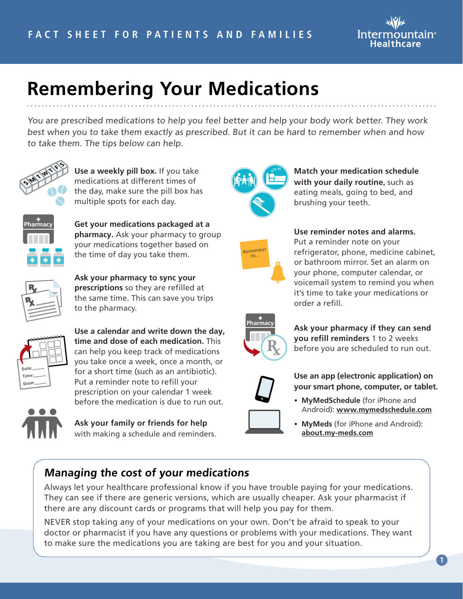

## **Remembering Your Medications**

You are prescribed medications to help you feel better and help your body work better. They work best when you to take them exactly as prescribed. But it can be hard to remember when and how to take them. The tips below can help.



**Use a weekly pill box.** If you take medications at different times of the day, make sure the pill box has multiple spots for each day.



**Get your medications packaged at a pharmacy.** Ask your pharmacy to group your medications together based on the time of day you take them.



**Ask your pharmacy to sync your prescriptions** so they are refilled at the same time. This can save you trips to the pharmacy.



**Use a calendar and write down the day, time and dose of each medication.** This can help you keep track of medications you take once a week, once a month, or for a short time (such as an antibiotic). Put a reminder note to refill your prescription on your calendar 1 week before the medication is due to run out.



**Ask your family or friends for help**  with making a schedule and reminders.



**Match your medication schedule with your daily routine,** such as eating meals, going to bed, and brushing your teeth.



## **Use reminder notes and alarms.**

Put a reminder note on your refrigerator, phone, medicine cabinet, or bathroom mirror. Set an alarm on your phone, computer calendar, or voicemail system to remind you when it's time to take your medications or order a refill.



**Ask your pharmacy if they can send you refill reminders** 1 to 2 weeks before you are scheduled to run out.



**Use an app (electronic application) on your smart phone, computer, or tablet.**

- **MyMedSchedule** (for iPhone and Android): **[www.mymedschedule.com](http://www.mymedschedule.com)**
- **MyMeds** (for iPhone and Android): **[about.my-meds.com](http://about.my-meds.com)**

## **Managing the cost of your medications**

Always let your healthcare professional know if you have trouble paying for your medications. They can see if there are generic versions, which are usually cheaper. Ask your pharmacist if there are any discount cards or programs that will help you pay for them.

NEVER stop taking any of your medications on your own. Don't be afraid to speak to your doctor or pharmacist if you have any questions or problems with your medications. They want to make sure the medications you are taking are best for you and your situation.